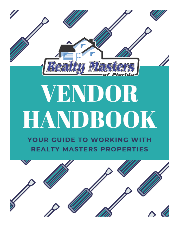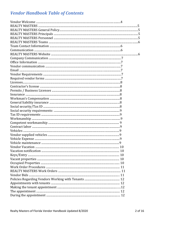#### **Vendor Handbook Table of Contents**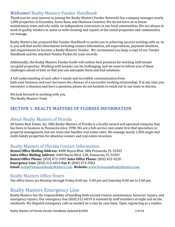#### *Welcome!* Realty Masters Vendor Handbook

Thank you for your interest in joining the Realty Masters Vendor Network! Our company manages nearly 1,000 properties in Escambia, Santa Rosa, and Okaloosa Counties. We do not have an in house maintenance team and rely solely on independent contractors in our local communities. We are always in need of quality vendors to assist us with cleaning and repairs at the rental properties and communities we manage.

Realty Masters has prepared this Vendor Handbook to assist you in achieving success working with us. In it, you will find useful information including contact information, job expectations, payment timelines, and requirements to become a Realty Masters Vendor. We recommend you keep a copy of our Vendor Handbook and the attached Vendor Packet for your records.

Additionally, the Realty Masters Vendor Guide will outline best practices for working with tenant occupied properties. Working with tenants can be challenging, and we want to inform you of these challenges ahead of time so that you can anticipate them and find solutions.

A full understanding of each other's needs and incredible communication from both your business and ours increases the chances of a successful working relationship. If at any time you encounter a situation and have a question, please do not hesitate to reach out to our team to discuss.

We look forward to working with you. The Realty Masters Team

#### **SECTION 1: REALTY MASTERS OF FLORIDA INFORMATION**

#### About Realty Masters of Florida

All Saints Real Estate, Inc. DBA Realty Masters of Florida is a locally owned and operated company that has been in business in Pensacola since 1998. We are a full-service real estate firm that specializes in property management, but our team also handles real estate sales. We manage nearly 1,000 single and multi-family properties for absentee owners and real estate investors.

#### Realty Masters of Florida Contact Information

**Rental Office Mailing Address:** 4400 Bayou Blvd. 58B, Pensacola, FL 32503 **Sales Office Mailing Address**: 4400 Bayou Blvd. 52B, Pensacola, FL 32503 **Rental Office Phone:** (850) 473-3983 **Sales Office Phone:** (850) 453-9220 **Emergency Line:** (850) 512-6019 **Fax #:** (850) 473-3983 **Email:** [Info@PensacolaRealtyMasters.com](mailto:Info@PensacolaRealtyMasters.com) **Website:** [www.PensacolaRealtyMasters.com](http://www.pensacolarealtymasters.com/)

#### Realty Masters Office Hours

Our office hours are Monday through Friday 8:00 am- 5:00 pm and Saturday 8:00 am to 2:00 pm.

#### Realty Masters Emergency Line

Realty Masters has the responsibility of handling both normal routine maintenance, turnover repairs, and emergency repairs. Our emergency line (850) 512-6019 is manned by staff members at night and on the weekends. We dispatch emergency calls as needed on a case by case basis. Upon registering as a vendor,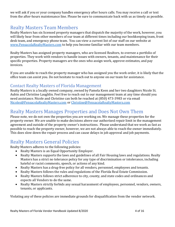we will ask if you or your company handles emergency after hours calls. You may receive a call or text from the after-hours maintenance line. Please be sure to communicate back with us as timely as possible.

### Realty Masters Team Members

Realty Masters has six licensed property managers that dispatch the majority of the work, however, you will likely hear from other members of our team at different times including our bookkeeping team, front desk team, and emergency phone team. You can view a current list of our staff on our website at [www.PensacolaRealtyMasters.com](http://www.pensacolarealtymasters.com/) to help you become familiar with our team members.

Realty Masters has assigned property managers, who are licensed Realtors, to oversee a portfolio of properties. They work with vendors to handle issues with owners, tenants, and maintenance for their specific properties. Property managers are the ones who assign work, approve estimates, and pay invoices.

If you are unable to reach the property manager who has assigned you the work order, it is likely that the office team can assist you. Do not hesitate to reach out to anyone on our team for assistance.

#### Contact Realty Masters of Florida Management

Realty Masters is a locally owned company, owned by Pamela Keen and her two daughters Nicole St. Aubin and Christine Laughlin. Feel free to reach out to our management team at any time should you need assistance. Nicole and Christine can both be reached at (850) 473-3983 or via email [Nicoles@PensacolaRealtyMasters.com](mailto:Nicoles@PensacolaRealtyMasters.com) or [Christine@PensacolaRealtyMasters.com](mailto:Christine@PensacolaRealtyMasters.com)

### Realty Masters Manages Properties and Does Not Own Them

Please note, we do not own the properties you are working on. We manage these properties for the property owner. We are unable to make decisions above our authorized repair limit in the management agreement and outside of the property owner's instructions. Please understand that we work as fast as possible to reach the property owner, however, we are not always able to reach the owner immediately. This does slow down the repair process and can cause delays in job approval and job payments.

#### Realty Masters General Policies

Realty Masters adheres to the following policies:

- Realty Masters is an Equal Opportunity Employer.
- Realty Masters supports the laws and guidelines of all Fair Housing laws and regulations. Realty Masters has a strict no tolerance policy for any type of discrimination or intolerance, including hateful or racist comments, speech, or actions of any kind.
- Realty Masters has a drug-free policy for all vendors, personnel, employees and tenants.
- Realty Masters follows the rules and regulations of the Florida Real Estate Commission.
- Realty Masters follows strict adherence to city, county, and state codes and ordinances and expects all Vendors to do the same.
- Realty Masters strictly forbids any sexual harassment of employees, personnel, vendors, owners, tenants, or applicants.

Violating any of these policies are immediate grounds for disqualification from the vendor network.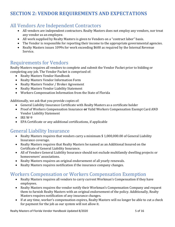### **SECTION 2: VENDOR REQUIREMENTS AND EXPECTATIONS**

#### All Vendors Are Independent Contractors

- All vendors are independent contractors. Realty Masters does not employ any vendors, nor treat any vendor as an employee.
- All work supplied by Realty Masters is given to Vendors on a "contract labor" basis.
- The Vendor is responsible for reporting their income to the appropriate governmental agencies.
- Realty Masters issues 1099s for work exceeding \$600 as required by the Internal Revenue Service.

#### Requirements for Vendors

Realty Masters requires all vendors to complete and submit the Vendor Packet prior to bidding or completing any job. The Vendor Packet is comprised of:

- Realty Masters Vendor Handbook
- Realty Masters Vendor Information Form
- Realty Masters Vendor / Broker Agreement
- Realty Masters Vendor Liability Statement
- Workers Compensation Information from the State of Florida

Additionally, we ask that you provide copies of:

- General Liability Insurance Certificate with Realty Masters as a certificate holder
- Proof of Workers Compensation Insurance **or** Valid Workers Compensation Exempt Card AND Vendor Liability Statement
- $\bullet$  IRS W-9
- EPA Certificate or any additional certifications, if applicable

#### General Liability Insurance

- Realty Masters requires that vendors carry a minimum \$ 1,000,000.00 of General Liability Insurance coverage.
- Realty Masters requires that Realty Masters be named as an Additional Insured on the Certificate of General Liability Insurance.
- All of Vendors General Liability Insurance should not exclude multifamily dwelling projects or homeowners' associations.
- Realty Masters requires an original endorsement of all yearly renewals.
- Realty Masters requires notification if the insurance company changes.

#### Workers Compensation or Workers Compensation Exemption

- Realty Masters requires all vendors to carry current Workman's Compensation if they have employees.
- Realty Masters requires the vendor notify their Workman's Compensation Company and request them to furnish Realty Masters with an original endorsement of the policy. Additionally, Realty Masters requires notification of any insurance changes.
- If at any time, worker's compensation expires, Realty Masters will no longer be able to cut a check for payment for the job as our system will not allow it.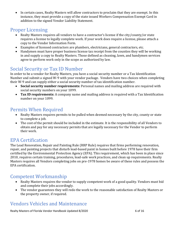• In certain cases, Realty Masters will allow contractors to proclaim that they are exempt. In this instance, they must provide a copy of the state issued Workers Compensation Exempt Card in addition to the signed Vendor Liability Statement.

#### Proper Licensing

- Realty Masters requires all vendors to have a contractor's license if the city/county/or state requires a license to legally complete work. If your work does require a license, please attach a copy to the Vendor Information Form.
- Examples of licensed contractors are plumbers, electricians, general contractors, etc.
- Handymen must have proper business license tax receipt from the counties they will be working in and supply a copy to Realty Masters. Those defined as cleaning, lawn, and handymen services agree to perform work only in the scope as authorized by law.

### Social Security or Tax ID Number

In order to be a vendor for Realty Masters, you have a social security number or a Tax Identification Number and submit a signed W-9 with your vendor package. Vendors have two choices when completing their W-9 and can supply either a social security number of tax identification number.

- **Social security number requirements:** Personal names and mailing address are required with social security numbers on your 1099.
- **Tax ID requirements:** A company name and mailing address is required with a Tax Identification number on your 1099.

#### Permits When Required

- Realty Masters requires permits to be pulled when deemed necessary by the city, county or state to complete a job.
- The cost of the permit should be included in the estimate. It is the responsibility of all Vendors to obtain and pay for any necessary permits that are legally necessary for the Vendor to perform their work.

#### EPA Certification

The Lead Renovation, Repair and Painting Rule (RRP Rule) requires that firms performing renovation, repair, and painting projects that disturb lead-based paint in homes built before 1978 have their firm certified by the Environmental Protection Agency (EPA). This requirement, which has been in place since 2010, requires certain training, procedures, lead-safe work practices, and clean up requirements. Realty Masters requires all Vendors completing jobs on pre-1978 homes be aware of these rules and possess the EPA certification.

#### Competent Workmanship

- Realty Masters requires the vendor to supply competent work of a good quality. Vendors must bid and complete their jobs accordingly.
- The vendor guarantees they will redo the work to the reasonable satisfaction of Realty Masters or the property owner, if required.

## Vendors Vehicles and Maintenance

Realty Masters of Florida Vendor Handbook Updated 8/2020 **6 Oct 16 and 16 and 16 and 16 and 16 and 16** and 16 and 16 and 16 and 16 and 16 and 16 and 16 and 16 and 16 and 16 and 16 and 16 and 16 and 16 and 16 and 16 and 16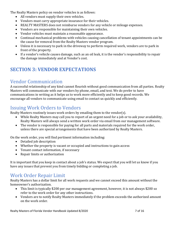The Realty Masters policy on vendor vehicles is as follows:

- All vendors must supply their own vehicles.
- Vendors must carry appropriate insurance for their vehicles.
- REALTY MASTERS does not reimburse vendors for any vehicle or mileage expenses.
- Vendors are responsible for maintaining their own vehicles.
- Vendor vehicles must maintain a reasonable appearance.
- Continual mechanical problems with vehicles causing cancellation of tenant appointments can be the cause for removal from the Realty Masters vendor program.
- Unless it is necessary to park in the driveway to perform required work, vendors are to park in front of the property.
- If a vendor's vehicle causes damage, such as an oil leak, it is the vendor's responsibility to repair the damage immediately and at Vendor's cost.

## **SECTION 3: VENDOR EXPECTATIONS**

#### Vendor Communication

A successful relationship of any kind cannot flourish without good communication from all parties. Realty Masters will communicate with our vendors by phone, email, and text. We do prefer to have communications in writing as it helps us to work more efficiently and to keep good records. We encourage all vendors to communicate using email to contact us quickly and efficiently.

### Issuing Work Orders to Vendors

Realty Masters routinely issues work orders by emailing them to the vendor(s).

- While Realty Masters may call you to report of an urgent need for a job or to ask your availability, Realty Masters will always send a written work order via email from our management software.
- The vendor is responsible for paying for all parts and materials required for the work order, unless there are special arrangements that have been authorized by Realty Masters.

On the work order, you will find pertinent information including:

- Detailed job description
- Whether the property is vacant or occupied and instructions to gain access
- Tenant contact information, if necessary
- Repair limits or authorization

It is important that you keep in contact about a job's status. We expect that you will let us know if you have any issues that prevent you from timely bidding or completing a job.

#### Work Order Repair Limit

Realty Masters has a dollar limit for all work requests and we cannot exceed this amount without the homeowner's authorization.

- This limit is typically \$200 per our management agreement, however, it is not always \$200 so refer to the work order for any other instructions.
- Vendors are to notify Realty Masters immediately if the problem exceeds the authorized amount on the work order.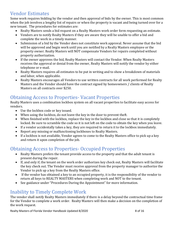#### Vendor Estimates

Some work requires bidding by the vendor and then approval of bids by the owner. This is most common when the job involves a lengthy list of repairs or when the property is vacant and being turned over for a new tenant. The procedures for estimates are:

- Realty Masters sends a bid request on a Realty Masters work order form requesting an estimate.
- Vendors are to notify Realty Masters if they are aware they will be unable to offer a bid and complete the work in a timely manner.
- Submission of a bid by the Vendor does not constitute work approval. Never assume that the bid will be approved and begin work until you are notified by a Realty Masters employee or the property owner. Realty Masters will NOT compensate Vendors for repairs completed without property authorization.
- If the owner approves the bid, Realty Masters will contact the Vendor. When Realty Masters receives the approval or denial from the owner, Realty Masters will notify the vendor by either telephone or e-mail.
- Realty Masters requires all estimates to be put in writing and to show a breakdown of materials and labor, when applicable.
- Realty Masters encourages all Vendors to use written contracts for all work performed for Realty Masters and the Vendor should have the contract signed by homeowners / clients of Realty Masters on all contracts over \$250.

### Obtaining Access to Properties- Vacant Properties

Realty Masters uses a combination lockbox system on all vacant properties to facilitate easy access for vendors.

- Use the lockbox code or key issued.
- When using the lockbox, do not leave the key in the door to prevent theft.
- When finished with the lockbox, replace the key in the lockbox and close so that it is completely locked. Be sure to scramble the code so it is not left on the code to obtain the key when you leave.
- If a vendor accidentally takes a key, they are required to return it to the lockbox immediately.
- Report any missing or malfunctioning lockboxes to Realty Masters.
- If a lockbox is not available, Vendor agrees to come to the Realty Masters office to pick up a key and return it upon completion of the job.

#### Obtaining Access to Properties- Occupied Properties

- Realty Masters prefers the tenant provide access to the property and that the adult tenant is present during the repair.
- If, and only if, the tenant on the work order authorizes key check out, Realty Masters will facilitate the key check out. The Vendor must receive approval from the property manager to authorize the Vendor to pick up a key from the Realty Masters office.
- If the vendor has obtained a key to an occupied property, it is the responsibility of the vendor to return all keys to REALTY MASTERS when completing work and NOT to the tenant.
- See guidance under "Procedures During the Appointment" for more information.

## Inability to Timely Complete Work

The vendor shall notify Realty Masters immediately if there is a delay beyond the contractual time frame for the Vendor to complete a work order. Realty Masters will then make a decision on the completion of the work request.

Realty Masters of Florida Vendor Handbook Updated 8/2020 **8 OM 18 and 18 and 18 and 18 and 18 and 18 and 16** and 16 and 16 and 16 and 16 and 16 and 16 and 16 and 16 and 16 and 16 and 16 and 16 and 16 and 16 and 16 and 16 a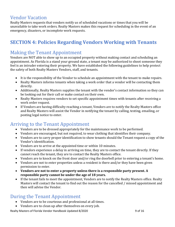#### Vendor Vacation

Realty Masters requests that vendors notify us of scheduled vacations or times that you will be unavailable to take work orders. Realty Masters makes this request for scheduling in the event of an emergency, disasters, or incomplete work requests.

## **SECTION 4: Policies Regarding Vendors Working with Tenants**

#### Making the Tenant Appointment

Vendors are NOT able to show up to an occupied property without making contact and scheduling an appointment. As Florida is a stand your ground state, a tenant may be authorized to shoot someone they feel is an intruder entering their property. We have established the following guidelines to help protect the safety of both Realty Masters Vendors, staff, and tenants.

- It is the responsibility of the Vendor to schedule an appointment with the tenant to make repairs.
- Realty Masters informs tenants when taking a work order that a vendor will be contacting them directly.
- Additionally, Realty Masters supplies the tenant with the vendor's contact information so they can be looking out for their call or make contact on their own.
- Realty Masters requires vendors to set specific appointment times with tenants after receiving a work order request.
- If Vendors are having difficulty reaching a tenant, Vendors are to notify the Realty Masters office and Realty Masters will assist the Vendor in notifying the tenant by calling, texting, emailing, or posting legal notice to enter.

#### Arriving to the Tenant Appointment

- Vendors are to be dressed appropriately for the maintenance work to be performed.
- Vendors are encouraged, but not required, to wear clothing that identifies their company.
- Vendors are to carry proper identification to show tenants should the Tenant request a copy of the Vendor's identification.
- Vendors are to arrive at the appointed time or within 10 minutes.
- If vendors experience a delay in arriving on time, they are to contact the tenant directly. If they cannot reach the tenant, they are to contact the Realty Masters office.
- Vendors are to knock on the front door and/or ring the doorbell prior to entering a tenant's home.
- Vendors are not to enter properties unless a resident is there and/or they have been given permission to enter.
- **Vendors are not to enter a property unless there is a responsible party present. A responsible party cannot be under the age of 18 years.**
- If the tenant fails to meet the appointment, Vendors are to notify the Realty Masters office. Realty Masters will contact the tenant to find out the reason for the cancelled / missed appointment and then will advise the Vendor.

#### During the Tenant Appointment

- Vendors are to be courteous and professional at all times.
- Vendors are to clean up after themselves on every job.

Realty Masters of Florida Vendor Handbook Updated 8/2020 9 of 16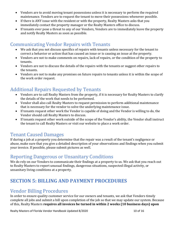- Vendors are to avoid moving tenant possessions unless it is necessary to perform the required maintenance. Vendors are to request the tenant to move their possessions whenever possible.
- If there is ANY issue with the resident or with the property, Realty Masters asks that you immediately contact the property manager or the Realty Masters office to discuss.
- If tenants ever pose a threat to any of our Vendors, Vendors are to immediately leave the property and notify Realty Masters as soon as possible.

#### Communicating Vendor Repairs with Tenants

- We ask that you not discuss specifics of repairs with tenants unless necessary for the tenant to correct a behavior or action that has caused an issue or is causing an issue at the property.
- Vendors are not to make comments on repairs, lack of repairs, or the condition of the property to tenants.
- Vendors are not to discuss the details of the repairs with the tenants or suggest other repairs to the tenants.
- Vendors are not to make any promises on future repairs to tenants unless it is within the scope of the work order request.

### Additional Repairs Requested by Tenants

- Vendors are to call Realty Masters from the property, if it is necessary for Realty Masters to clarify the details of the work that needs to be performed.
- Vendor shall also call Realty Masters to request permission to perform additional maintenance that is necessary for the vendor to solve the underlying maintenance issue.
- If tenants request other work the Vendor is capable of doing and the Vendor is willing to do, the Vendor should call Realty Masters to discuss.
- If tenants request other work outside of the scope of the Vendor's ability, the Vendor shall instruct the tenant to call Realty Masters or visit our website to place a work order.

#### Tenant Caused Damages

If during a job at a property you determine that the repair was a result of the tenant's negligence or abuse, make sure that you give a detailed description of your observations and findings when you submit your invoice. If possible, please submit pictures as well.

#### Reporting Dangerous or Unsanitary Conditions

We do rely on our Vendors to communicate their findings at a property to us. We ask that you reach out to Realty Masters to report unusual findings, dangerous situations, suspected illegal activity, or unsanitary living conditions at a property.

## **SECTION 5: BILLING AND PAYMENT PROCEDURES**

#### Vendor Billing Procedures

In order to ensure quality customer service for our owners and tenants, we ask that Vendors timely complete all jobs and submit a bill upon completion of the job so that we may update our system. Because of this, Realty Masters **requires all invoices be turned in within 2 weeks (10 business days) upon**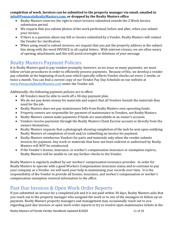#### **completion of work. Invoices can be submitted to the property manager via email, emailed to [info@PensacolaRealtyMasters.com,](mailto:info@PensacolaRealtyMasters.com) or dropped by the Realty Masters office**

- Realty Masters reserves the right to reject invoices submitted outside the 2 Week Invoice submission period.
- We request that you submit photos of the work performed, before and after, when you submit your invoice.
- If there is a question about any bill or invoice submitted by a Vendor, Realty Masters will contact the Vendor for clarification.
- When using email to submit invoices, we request that you put the property address in the subject line along with the word INVOICE in all capital letters. With internet viruses, we are often weary of opening attachments and this will avoid oversight or deletions of your message

### Realty Masters Payment Policies

It is Realty Masters goal to pay vendors promptly, however, as we issue so many payments, we must follow certain procedures in order to efficiently process payments. Because of this, we develop a vendor pay schedule at the beginning of each year which typically reflects Vendor checks cut every 2 weeks, or twice a month. You can find a current copy of our Vendor Pay Day Schedule on our website at [www.PensacolaRealtyMasters.com](http://www.pensacolarealtymasters.com/) under the Vendor tab.

Additionally, the following payment policies are in effect:

- All Vendors must be able to work off a 30-day payment plan.
- We do not pay down money for materials and expect that all Vendors furnish the materials they need for the job.
- Realty Masters does not pay maintenance bills from Realty Masters own operating funds.
- Property owners are responsible for payment of maintenance to Vendors, not Realty Masters.
- Realty Masters cannot make payments if funds are unavailable in an owner's account.
- Vendors receive payments through the Realty Masters Client Escrow account or directly from the owners themselves.
- Realty Masters requests that a photograph showing completion of the task be sent upon notifying Realty Masters of completion of work and/or submitting an invoice for payment.
- Realty Masters reimburses Vendors for parts and materials only when the vendor submits invoices for payment. Any work or materials that have not been ordered or authorized by Realty Masters will NOT be reimbursed.
- If the Vendor's license, insurance, or worker's compensation insurance or exemption expires, Realty Masters will be unable to cut any further checks to the Vendor.

Realty Masters is regularly audited by our workers' compensation insurance provider. In order for Realty Masters to operate with a good Workers Compensation insurance status and to continue to pay your company as a Vendor, we will need your help in maintaining your records over time. It is the responsibility of the Vendor to provide all license, insurance, and worker's compensation or worker's compensation exemption renewal information to the office.

## Past Due Invoices & Open Work Order Reports

If you submitted an invoice for a completed job and it is not paid within 30 days, Realty Masters asks that you reach out to the property manager who assigned the work or to one of the managers to follow up on payment. Realty Masters property managers and management may occasionally reach out to you regarding past due invoices or open work order reports to try to resolve open maintenance tickets in the

Realty Masters of Florida Vendor Handbook Updated 8/2020 11 of 16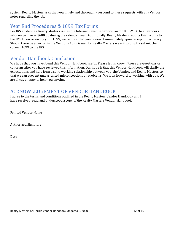system. Realty Masters asks that you timely and thoroughly respond to these requests with any Vendor notes regarding the job.

#### Year End Procedures & 1099 Tax Forms

Per IRS guidelines, Realty Masters issues the Internal Revenue Service Form 1099-MISC to all vendors who are paid over \$600.00 during the calendar year. Additionally, Realty Masters reports this income to the IRS. Upon receiving your 1099, we request that you review it immediately upon receipt for accuracy. Should there be an error in the Vendor's 1099 issued by Realty Masters we will promptly submit the correct 1099 to the IRS.

#### Vendor Handbook Conclusion

We hope that you have found this Vendor Handbook useful. Please let us know if there are questions or concerns after you have reviewed this information. Our hope is that this Vendor Handbook will clarify the expectations and help form a solid working relationship between you, the Vendor, and Realty Masters so that we can prevent unwarranted misconceptions or problems. We look forward to working with you. We are always happy to help you anytime.

#### ACKNOWLEDGEMENT OF VENDOR HANDBOOK

I agree to the terms and conditions outlined in the Realty Masters Vendor Handbook and I have received, read and understood a copy of the Realty Masters Vendor Handbook.

Printed Vendor Name

\_\_\_\_\_\_\_\_\_\_\_\_\_\_\_\_\_\_\_\_\_\_\_\_\_\_\_\_\_\_\_\_\_\_\_\_\_\_

\_\_\_\_\_\_\_\_\_\_\_\_\_\_\_\_\_\_\_\_\_\_\_\_\_\_\_\_\_\_\_\_\_\_\_\_\_\_\_\_

\_\_\_\_\_\_\_\_\_\_\_\_\_\_\_\_\_\_\_\_\_\_\_\_\_\_\_\_\_\_\_\_\_\_\_\_\_\_\_\_

Authorized Signature

Date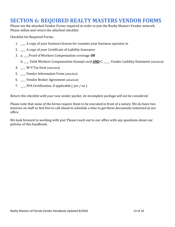## **SECTION 6: REQUIRED REALTY MASTERS VENDOR FORMS**

Please see the attached Vendor Forms required in order to join the Realty Masters Vendor network. Please utilize and return the attached checklist.

Checklist for Required Forms:

- 1. \_\_\_\_ A copy of your business license for counties your business operates in
- 2. \_\_\_\_ A copy of your Certificate of Liability Insurance
- 3. a. \_\_\_\_Proof of Workers Compensation coverage *OR*
	- b. \_\_\_\_ Valid Workers Compensation Exempt card **AND** C. \_\_\_\_\_ Vendor Liability Statement (attached)
- 4. \_\_\_\_ W-9 Tax form (attached)
- 5. \_\_\_\_ Vendor Information Form (attached)
- 6. \_\_\_\_ Vendor Broker Agreement (attached)
- 7. \_\_\_\_ EPA Certification, if applicable ( yes / no )

*Return this checklist with your new vendor packet. An incomplete package will not be considered.*

Please note that some of the forms require them to be executed in front of a notary. We do have two notaries on staff so feel free to call ahead to schedule a time to get these documents notarized at our office.

We look forward to working with you! Please reach out to our office with any questions about our policies of this handbook.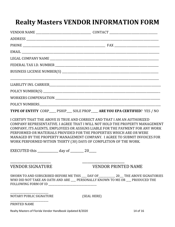# **Realty Masters VENDOR INFORMATION FORM**

|                                                                                                                        | EMAIL <b>EXAMPLE 2008</b>                                                                                                                                                                                                                                                                                                                                                                       |
|------------------------------------------------------------------------------------------------------------------------|-------------------------------------------------------------------------------------------------------------------------------------------------------------------------------------------------------------------------------------------------------------------------------------------------------------------------------------------------------------------------------------------------|
|                                                                                                                        |                                                                                                                                                                                                                                                                                                                                                                                                 |
|                                                                                                                        |                                                                                                                                                                                                                                                                                                                                                                                                 |
|                                                                                                                        |                                                                                                                                                                                                                                                                                                                                                                                                 |
|                                                                                                                        |                                                                                                                                                                                                                                                                                                                                                                                                 |
|                                                                                                                        |                                                                                                                                                                                                                                                                                                                                                                                                 |
|                                                                                                                        |                                                                                                                                                                                                                                                                                                                                                                                                 |
|                                                                                                                        |                                                                                                                                                                                                                                                                                                                                                                                                 |
|                                                                                                                        | TYPE OF ENTITY CORP____ PSHIP___ SOLE PROP____ ARE YOU EPA CERTIFIED? YES / NO                                                                                                                                                                                                                                                                                                                  |
| WORK PERFORMED WITHIN THIRTY (30) DAYS OF COMPLETION OF THE WORK.<br>EXECUTED this ____________ day of ________ 20____ | I CERTIFY THAT THE ABOVE IS TRUE AND CORRECT AND THAT I AM AN AUTHORIZED<br>COMPANY REPRESENTATIVE. I AGREE THAT I WILL NOT HOLD THE PROPERTY MANAGEMENT<br>COMPANY, ITS AGENTS, EMPLOYEES OR ASSIGNS LIABLE FOR THE PAYMENT FOR ANY WORK<br>PERFORMED OR MATERIALS PROVIDED FOR THE PROPERTIES WHICH ARE OR WERE<br>MANAGED BY THE PROPERTY MANAGEMENT COMPANY. I AGREE TO SUBMIT INVOICES FOR |
| <b>VENDOR SIGNATURE</b>                                                                                                | <b>VENDOR PRINTED NAME</b>                                                                                                                                                                                                                                                                                                                                                                      |
|                                                                                                                        | SWORN TO AND SUBSCRIBED BEFORE ME THIS ___ DAY OF ___________ 20__ THE ABOVE SIGNATORIES<br>WHO DID NOT TAKE AN OATH AND ARE ___ PERSONALLY KNOWN TO ME OR ___ PRODUCED THE                                                                                                                                                                                                                     |
| NOTARY PUBLIC SIGNATURE                                                                                                | (SEAL HERE)                                                                                                                                                                                                                                                                                                                                                                                     |
| PRINTED NAME                                                                                                           |                                                                                                                                                                                                                                                                                                                                                                                                 |
| Realty Masters of Florida Vendor Handbook Updated 8/2020                                                               | 14 of 16                                                                                                                                                                                                                                                                                                                                                                                        |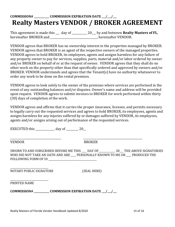## **COMMISSION# \_\_\_\_\_\_\_\_\_\_\_\_ COMMISSION EXPIRATION DATE \_\_\_/\_\_\_/\_\_\_ Realty Masters VENDOR / BROKER AGREEMENT**

This agreement is made this \_\_\_ day of \_\_\_\_\_\_\_\_\_\_\_ 20\_\_\_ by and between **Realty Masters of FL**, hereinafter BROKER and \_\_\_\_\_\_\_\_\_\_\_\_\_\_\_\_\_\_\_\_\_\_\_\_\_\_\_\_, hereinafter VENDOR.

VENDOR agrees that BROKER has no ownership interest in the properties managed by BROKER. VENDOR agrees that BROKER is an agent of the respective owners of the managed properties. VENDOR agrees to hold BROKER, its employees, agents and assigns harmless for any failure of any property owner to pay for services, supplies, parts, material and/or labor ordered by owner and/or BROKER on behalf of or at the request of owner. VENDOR agrees that they shall do no other work on the property other than that specifically ordered and approved by owners and/or BROKER. VENDOR understands and agrees that the Tenant(s) have no authority whatsoever to order any work to be done on the rental premises.

VENDOR agrees to look solely to the owner of the premises where services are performed in the event of any outstanding balances and/or disputes. Owner's name and address will be provided upon request. VENDOR agrees to submit invoices to BROKER for work performed within thirty (30) days of completion of the work.

VENDOR agrees and affirms that it carries the proper insurance, licenses, and permits necessary to legally carry out the requested services and agrees to hold BROKER, its employees, agents and assigns harmless for any injuries suffered by or damages suffered by VENDOR, its employees, agents and/or assigns arising out of performance of the requested services.

EXECUTED this  $\frac{1}{20}$ 

VENDOR BROKER

\_\_\_\_\_\_\_\_\_\_\_\_\_\_\_\_\_\_\_\_\_\_\_\_\_\_\_\_\_\_\_\_\_\_\_\_\_ \_\_\_\_\_\_\_\_\_\_\_\_\_\_\_\_\_\_\_\_\_\_\_\_\_\_\_\_\_\_\_\_\_\_\_\_\_\_\_\_\_\_\_

SWORN TO AND SUBSCRIBED BEFORE ME THIS \_\_\_\_ DAY OF\_\_\_\_\_\_\_\_\_\_\_\_\_ 20\_\_\_ THE ABOVE SIGNATORIES WHO DID NOT TAKE AN OATH AND ARE PERSONALLY KNOWN TO ME OR PRODUCED THE FOLLOWING FORM OF ID \_\_\_\_\_\_\_\_\_\_\_\_\_\_\_\_\_\_\_\_\_\_\_\_\_\_\_\_\_\_\_\_\_\_\_\_\_\_

\_\_\_\_\_\_\_\_\_\_\_\_\_\_\_\_\_\_\_\_\_\_\_\_\_\_\_\_\_\_ NOTARY PUBLIC SIGNATURE (SEAL HERE)

| PRINTED NAME |  |
|--------------|--|

**COMMISSION# \_\_\_\_\_\_\_\_\_\_\_\_ COMMISSION EXPIRATION DATE \_\_\_/\_\_\_/\_\_\_**